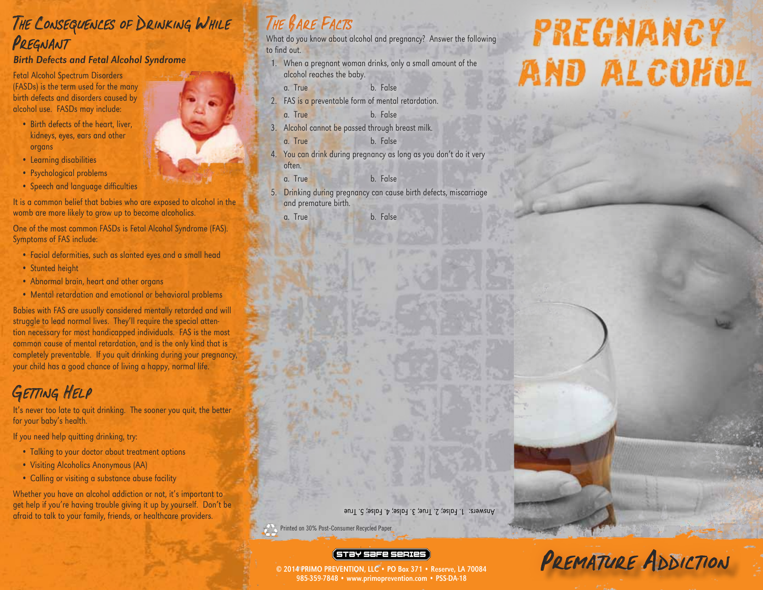## The Consequences of Drinking While PREGNANT

#### Birth Defects and Fetal Alcohol Syndrome

Fetal Alcohol Spectrum Disorders (FASDs) is the term used for the many birth defects and disorders caused by alcohol use. FASDs may include:

- Birth defects of the heart, liver, kidneys, eyes, ears and other organs
- Learning disabilities
- Psychological problems
- Speech and language difficulties

It is a common belief that babies who are exposed to alcohol in the womb are more likely to grow up to become alcoholics.

One of the most common FASDs is Fetal Alcohol Syndrome (FAS). Symptoms of FAS include:

- Facial deformities, such as slanted eyes and a small head
- Stunted height
- Abnormal brain, heart and other organs
- Mental retardation and emotional or behavioral problems

Babies with FAS are usually considered mentally retarded and will struggle to lead normal lives. They'll require the special attention necessary for most handicapped individuals. FAS is the most common cause of mental retardation, and is the only kind that is completely preventable. If you quit drinking during your pregnancy, your child has a good chance of living a happy, normal life.

## GETTING HELP

It's never too late to quit drinking. The sooner you quit, the better for your baby's health.

If you need help quitting drinking, try:

- Talking to your doctor about treatment options
- Visiting Alcoholics Anonymous (AA)
- Calling or visiting a substance abuse facility

Whether you have an alcohol addiction or not, it's important to get help if you're having trouble giving it up by yourself. Don't be afraid to talk to your family, friends, or healthcare providers.

# The Bare Facts

What do you know about alcohol and pregnancy? Answer the following to find out.

- 1. When a pregnant woman drinks, only a small amount of the alcohol reaches the baby.
	- a. True b. False
- 2. FAS is a preventable form of mental retardation.
	- a. True b. False
- 3. Alcohol cannot be passed through breast milk. a. True b. False
- 4. You can drink during pregnancy as long as you don't do it very often.
	- a. True b. False
- 5. Drinking during pregnancy can cause birth defects, miscarriage and premature birth.

a. True b. False

Answers: 1. False; 2. True; 3. False; 4. False; 5. True

Printed on 30% Post-Consumer Recycled Paper

#### (STƏY SƏFE SERIES

© 2014 PRIMO PREVENTION, LLC • PO Box 371 • Reserve, LA 70084 985-359-7848 • www.primoprevention.com • PSS-DA-18

# **PREGNANCY AND ALCOHOL**





PREMATURE ADDICTION